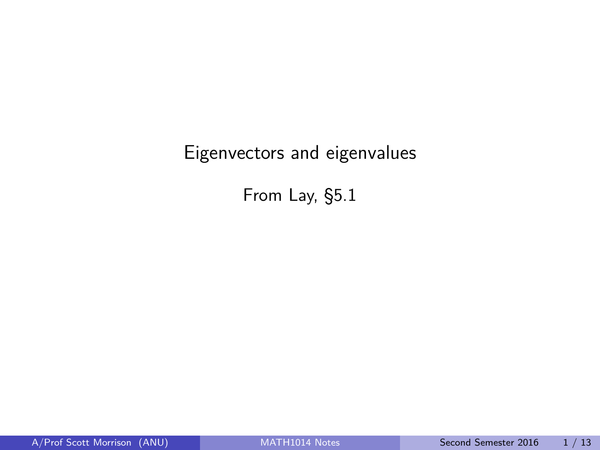# <span id="page-0-0"></span>Eigenvectors and eigenvalues

From Lay, §5.1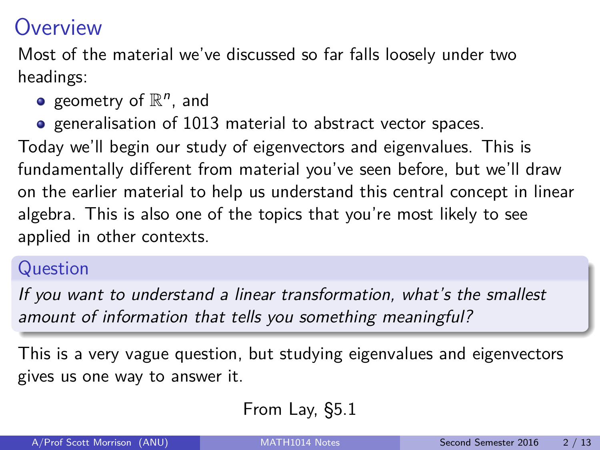### **Overview**

Most of the material we've discussed so far falls loosely under two headings:

- geometry of  $\mathbb{R}^n$ , and
- **e** generalisation of 1013 material to abstract vector spaces.

Today we'll begin our study of eigenvectors and eigenvalues. This is fundamentally different from material you've seen before, but we'll draw on the earlier material to help us understand this central concept in linear algebra. This is also one of the topics that you're most likely to see applied in other contexts.

#### Question

If you want to understand a linear transformation, what's the smallest amount of information that tells you something meaningful?

This is a very vague question, but studying eigenvalues and eigenvectors gives us one way to answer it.

From Lay, §5.1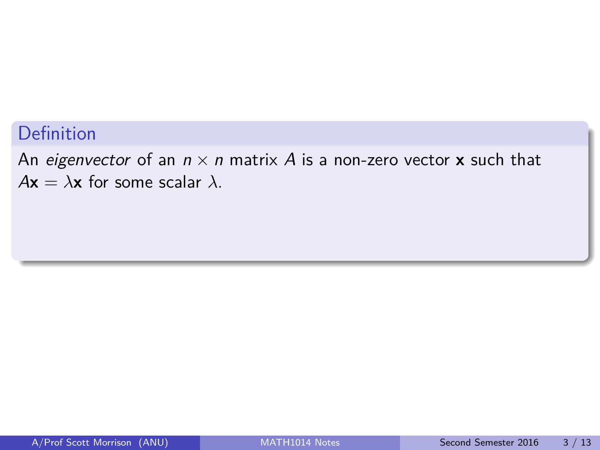#### Definition

An eigenvector of an  $n \times n$  matrix A is a non-zero vector **x** such that  $A\mathbf{x} = \lambda \mathbf{x}$  for some scalar  $\lambda$ .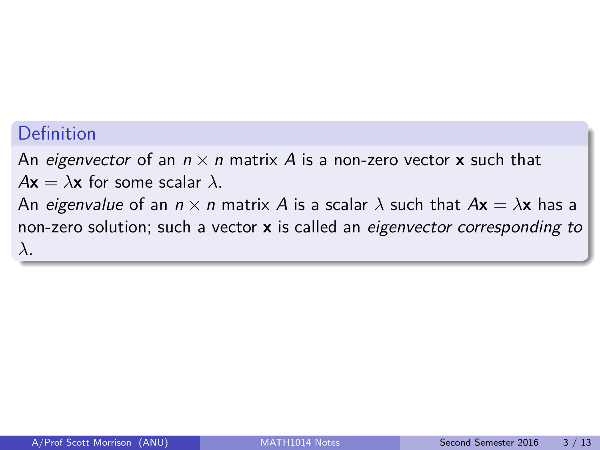#### Definition

An eigenvector of an  $n \times n$  matrix A is a non-zero vector **x** such that  $A\mathbf{x} = \lambda \mathbf{x}$  for some scalar  $\lambda$ .

An eigenvalue of an  $n \times n$  matrix A is a scalar  $\lambda$  such that  $A\mathbf{x} = \lambda \mathbf{x}$  has a non-zero solution; such a vector **x** is called an eigenvector corresponding to *λ*.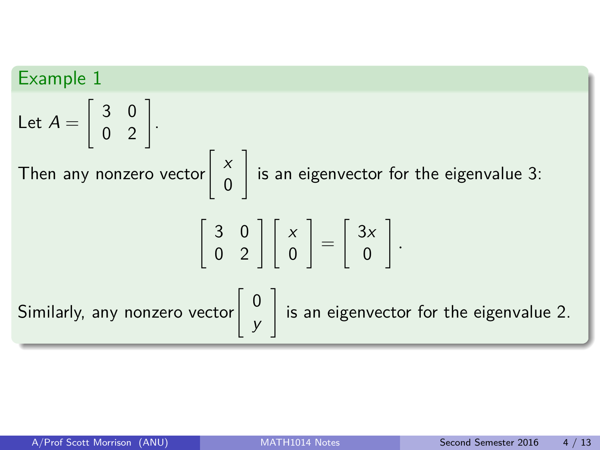Example 1

\nLet 
$$
A = \begin{bmatrix} 3 & 0 \\ 0 & 2 \end{bmatrix}
$$
.

\nThen any nonzero vector  $\begin{bmatrix} x \\ 0 \end{bmatrix}$  is an eigenvector for the eigenvalue 3:

\n
$$
\begin{bmatrix} 3 & 0 \\ 0 & 2 \end{bmatrix} \begin{bmatrix} x \\ 0 \end{bmatrix} = \begin{bmatrix} 3x \\ 0 \end{bmatrix}.
$$
\nSimilarly, any nonzero vector  $\begin{bmatrix} 0 \\ y \end{bmatrix}$  is an eigenvector for the eigenvalue 2.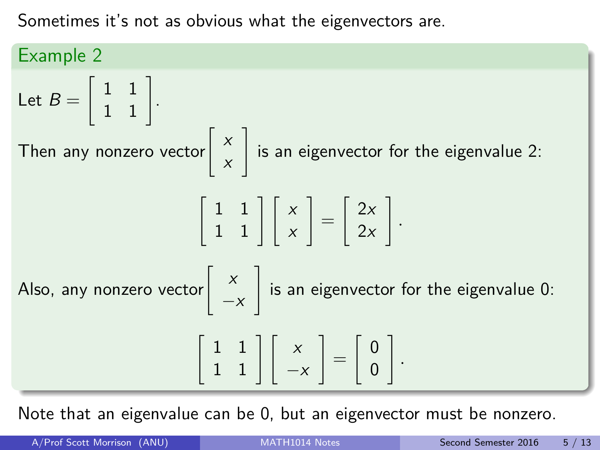Sometimes it's not as obvious what the eigenvectors are.



Note that an eigenvalue can be 0, but an eigenvector must be nonzero.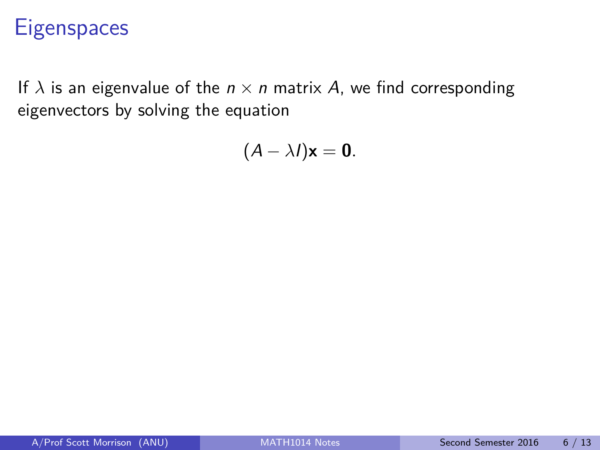If  $\lambda$  is an eigenvalue of the  $n \times n$  matrix A, we find corresponding eigenvectors by solving the equation

$$
(A - \lambda I)\mathbf{x} = \mathbf{0}.
$$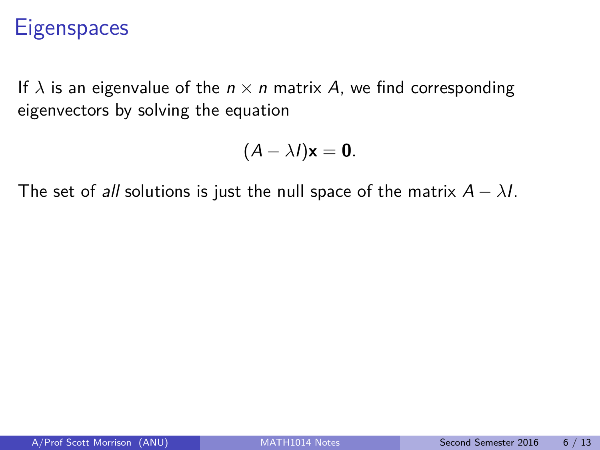If  $\lambda$  is an eigenvalue of the  $n \times n$  matrix A, we find corresponding eigenvectors by solving the equation

$$
(A - \lambda I)\mathbf{x} = \mathbf{0}.
$$

The set of *all* solutions is just the null space of the matrix  $A - \lambda I$ .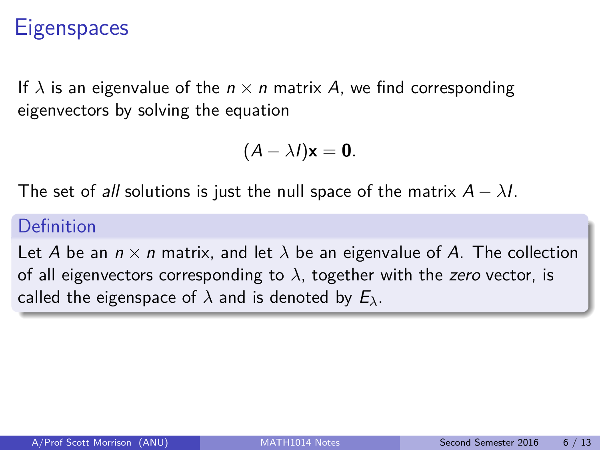If  $\lambda$  is an eigenvalue of the  $n \times n$  matrix A, we find corresponding eigenvectors by solving the equation

$$
(A - \lambda I)\mathbf{x} = \mathbf{0}.
$$

The set of *all* solutions is just the null space of the matrix  $A - \lambda I$ .

#### **Definition**

Let A be an  $n \times n$  matrix, and let  $\lambda$  be an eigenvalue of A. The collection of all eigenvectors corresponding to  $\lambda$ , together with the zero vector, is called the eigenspace of  $\lambda$  and is denoted by  $E_{\lambda}$ .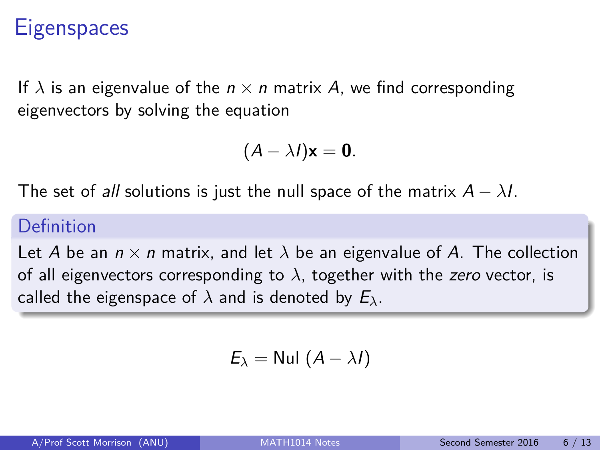If  $\lambda$  is an eigenvalue of the  $n \times n$  matrix A, we find corresponding eigenvectors by solving the equation

$$
(A - \lambda I)\mathbf{x} = \mathbf{0}.
$$

The set of all solutions is just the null space of the matrix  $A - \lambda I$ .

#### **Definition**

Let A be an  $n \times n$  matrix, and let  $\lambda$  be an eigenvalue of A. The collection of all eigenvectors corresponding to  $\lambda$ , together with the zero vector, is called the eigenspace of  $\lambda$  and is denoted by  $E_{\lambda}$ .

$$
E_{\lambda} = \text{Nul } (A - \lambda I)
$$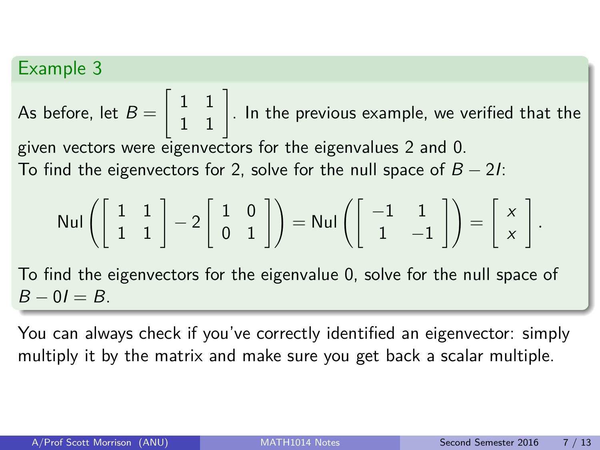#### Example 3

As before, let  $B=$  $\begin{bmatrix} 1 & 1 \\ 1 & 1 \end{bmatrix}$ . In the previous example, we verified that the given vectors were eigenvectors for the eigenvalues 2 and 0. To find the eigenvectors for 2, solve for the null space of  $B - 2I$ :

$$
\mathsf{Nul}\left(\left[\begin{array}{cc} 1 & 1 \\ 1 & 1 \end{array}\right] - 2\left[\begin{array}{cc} 1 & 0 \\ 0 & 1 \end{array}\right]\right) = \mathsf{Nul}\left(\left[\begin{array}{cc} -1 & 1 \\ 1 & -1 \end{array}\right]\right) = \left[\begin{array}{c} x \\ x \end{array}\right]
$$

To find the eigenvectors for the eigenvalue 0, solve for the null space of  $B - 0I = B$ .

You can always check if you've correctly identified an eigenvector: simply multiply it by the matrix and make sure you get back a scalar multiple.

*.*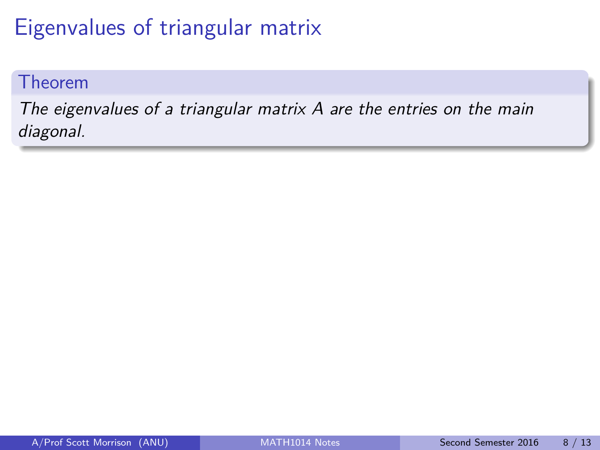## Eigenvalues of triangular matrix

#### Theorem

The eigenvalues of a triangular matrix A are the entries on the main diagonal.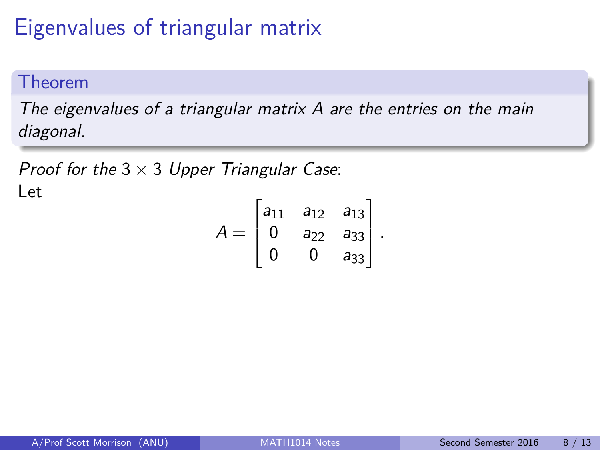## Eigenvalues of triangular matrix

#### Theorem

The eigenvalues of a triangular matrix A are the entries on the main diagonal.

Proof for the  $3 \times 3$  Upper Triangular Case:

Let

$$
A = \begin{bmatrix} a_{11} & a_{12} & a_{13} \\ 0 & a_{22} & a_{33} \\ 0 & 0 & a_{33} \end{bmatrix}.
$$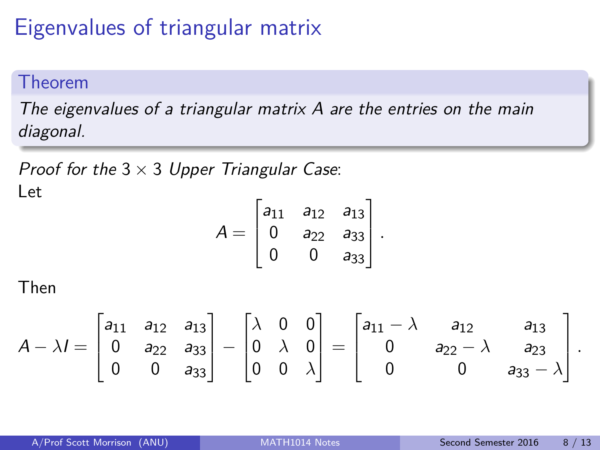## Eigenvalues of triangular matrix

#### Theorem

The eigenvalues of a triangular matrix A are the entries on the main diagonal.

Proof for the  $3 \times 3$  Upper Triangular Case:

Let

$$
A = \begin{bmatrix} a_{11} & a_{12} & a_{13} \\ 0 & a_{22} & a_{33} \\ 0 & 0 & a_{33} \end{bmatrix}.
$$

Then

$$
A - \lambda I = \begin{bmatrix} a_{11} & a_{12} & a_{13} \\ 0 & a_{22} & a_{33} \\ 0 & 0 & a_{33} \end{bmatrix} - \begin{bmatrix} \lambda & 0 & 0 \\ 0 & \lambda & 0 \\ 0 & 0 & \lambda \end{bmatrix} = \begin{bmatrix} a_{11} - \lambda & a_{12} & a_{13} \\ 0 & a_{22} - \lambda & a_{23} \\ 0 & 0 & a_{33} - \lambda \end{bmatrix}.
$$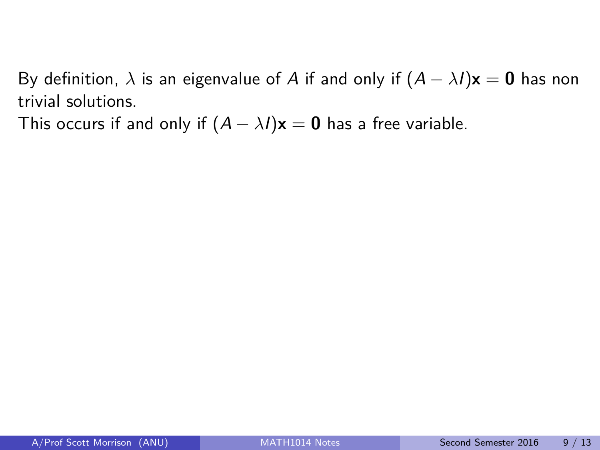This occurs if and only if  $(A - \lambda I)\mathbf{x} = \mathbf{0}$  has a free variable.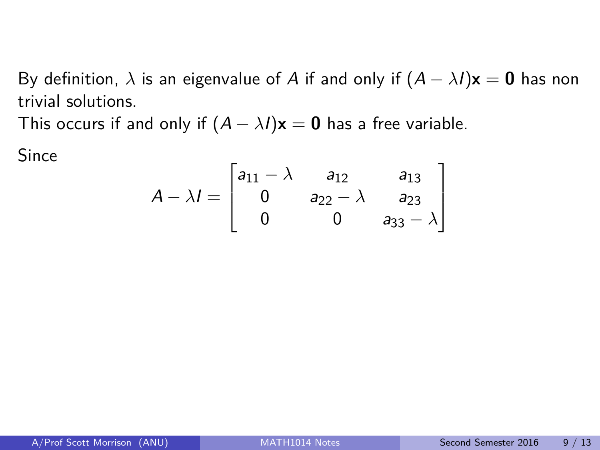This occurs if and only if  $(A - \lambda I)\mathbf{x} = \mathbf{0}$  has a free variable.

Since

$$
A - \lambda I = \begin{bmatrix} a_{11} - \lambda & a_{12} & a_{13} \\ 0 & a_{22} - \lambda & a_{23} \\ 0 & 0 & a_{33} - \lambda \end{bmatrix}
$$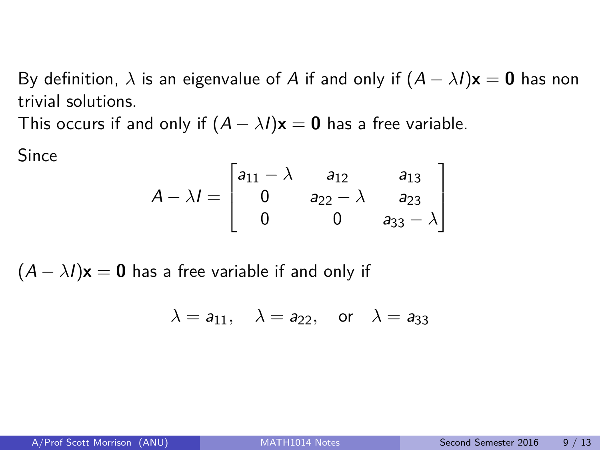This occurs if and only if  $(A - \lambda I)x = 0$  has a free variable.

Since

$$
A - \lambda I = \begin{bmatrix} a_{11} - \lambda & a_{12} & a_{13} \\ 0 & a_{22} - \lambda & a_{23} \\ 0 & 0 & a_{33} - \lambda \end{bmatrix}
$$

 $(A - \lambda I)\mathbf{x} = \mathbf{0}$  has a free variable if and only if

$$
\lambda = a_{11}, \quad \lambda = a_{22}, \quad \text{or} \quad \lambda = a_{33}
$$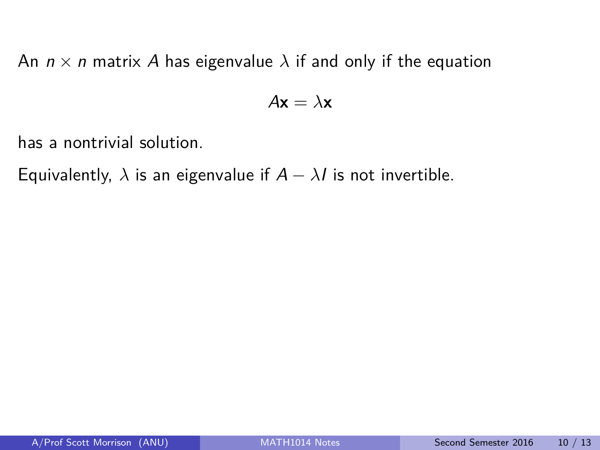$$
A\mathbf{x}=\lambda\mathbf{x}
$$

has a nontrivial solution.

Equivalently,  $\lambda$  is an eigenvalue if  $A - \lambda I$  is not invertible.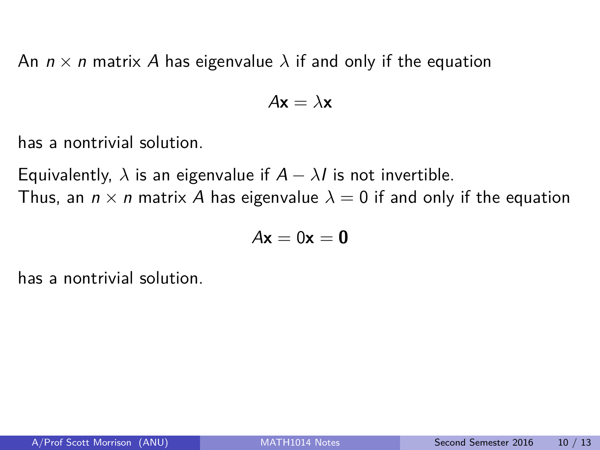$$
A\mathbf{x}=\lambda\mathbf{x}
$$

has a nontrivial solution.

Equivalently,  $\lambda$  is an eigenvalue if  $A - \lambda I$  is not invertible. Thus, an  $n \times n$  matrix A has eigenvalue  $\lambda = 0$  if and only if the equation

$$
A\mathbf{x}=0\mathbf{x}=\mathbf{0}
$$

has a nontrivial solution.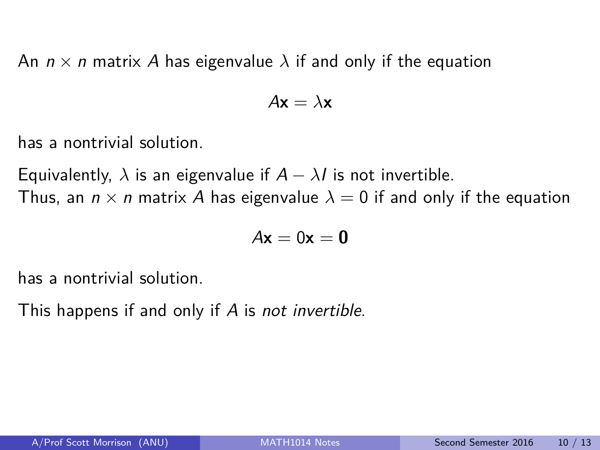$$
A\mathbf{x}=\lambda\mathbf{x}
$$

has a nontrivial solution.

Equivalently,  $\lambda$  is an eigenvalue if  $A - \lambda I$  is not invertible. Thus, an  $n \times n$  matrix A has eigenvalue  $\lambda = 0$  if and only if the equation

$$
A\mathbf{x}=0\mathbf{x}=\mathbf{0}
$$

has a nontrivial solution.

This happens if and only if A is not invertible.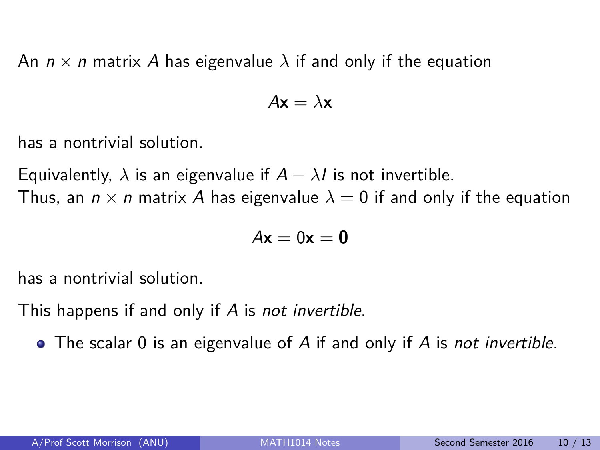$$
A\mathbf{x}=\lambda\mathbf{x}
$$

has a nontrivial solution.

Equivalently,  $\lambda$  is an eigenvalue if  $A - \lambda I$  is not invertible. Thus, an  $n \times n$  matrix A has eigenvalue  $\lambda = 0$  if and only if the equation

$$
A\mathbf{x}=0\mathbf{x}=\mathbf{0}
$$

has a nontrivial solution.

This happens if and only if A is not invertible.

• The scalar 0 is an eigenvalue of A if and only if A is not invertible.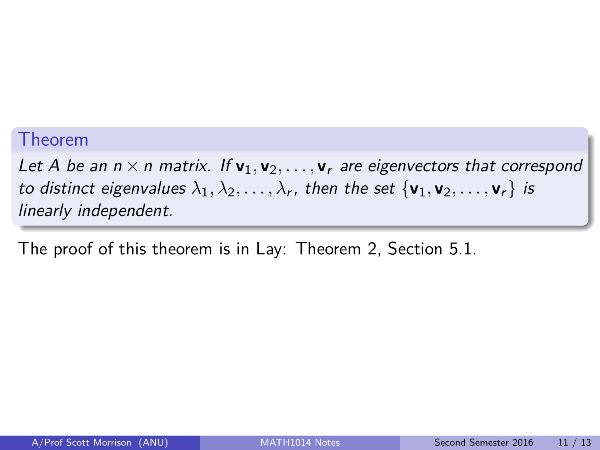#### Theorem

Let A be an  $n \times n$  matrix. If  $v_1, v_2, \ldots, v_r$  are eigenvectors that correspond to distinct eigenvalues  $\lambda_1, \lambda_2, \ldots, \lambda_r$ , then the set  $\{v_1, v_2, \ldots, v_r\}$  is linearly independent.

The proof of this theorem is in Lay: Theorem 2, Section 5.1.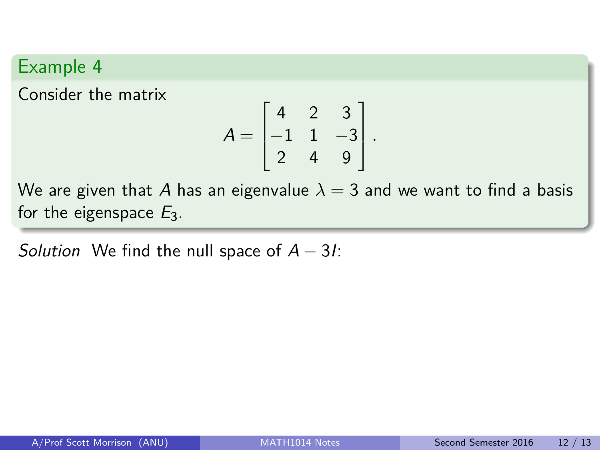#### Example 4

Consider the matrix

$$
A = \begin{bmatrix} 4 & 2 & 3 \\ -1 & 1 & -3 \\ 2 & 4 & 9 \end{bmatrix}.
$$

We are given that A has an eigenvalue  $\lambda = 3$  and we want to find a basis for the eigenspace  $E_3$ .

Solution We find the null space of  $A - 3I$ :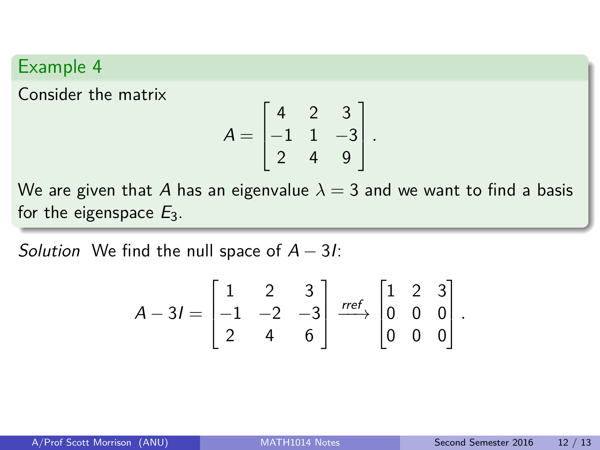#### Example 4

Consider the matrix

$$
A = \begin{bmatrix} 4 & 2 & 3 \\ -1 & 1 & -3 \\ 2 & 4 & 9 \end{bmatrix}.
$$

We are given that A has an eigenvalue  $\lambda = 3$  and we want to find a basis for the eigenspace  $E_3$ .

Solution We find the null space of  $A - 3I$ :

$$
A-3I = \begin{bmatrix} 1 & 2 & 3 \\ -1 & -2 & -3 \\ 2 & 4 & 6 \end{bmatrix} \xrightarrow{ref} \begin{bmatrix} 1 & 2 & 3 \\ 0 & 0 & 0 \\ 0 & 0 & 0 \end{bmatrix}.
$$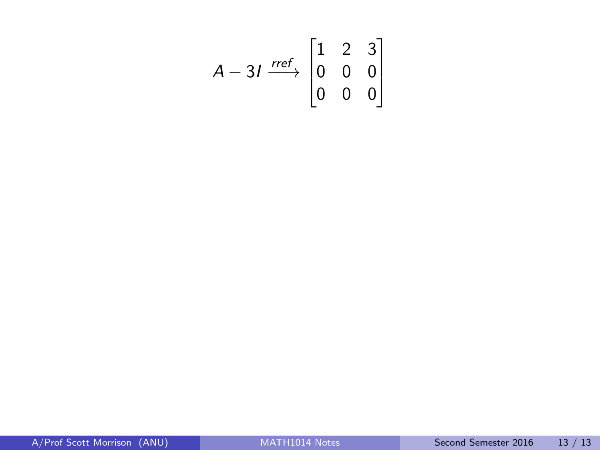$$
A - 3I \xrightarrow{rref} \begin{bmatrix} 1 & 2 & 3 \\ 0 & 0 & 0 \\ 0 & 0 & 0 \end{bmatrix}
$$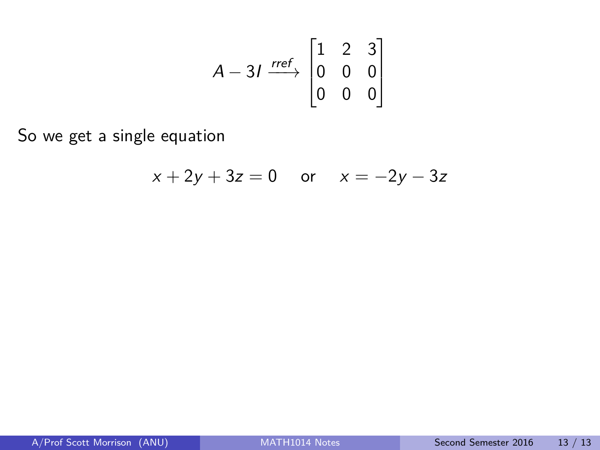$$
A - 3I \xrightarrow{rref} \begin{bmatrix} 1 & 2 & 3 \\ 0 & 0 & 0 \\ 0 & 0 & 0 \end{bmatrix}
$$

So we get a single equation

$$
x + 2y + 3z = 0
$$
 or  $x = -2y - 3z$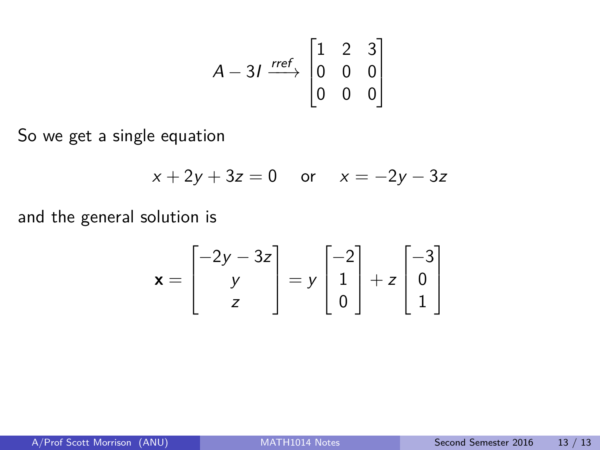$$
A - 3I \xrightarrow{rref} \begin{bmatrix} 1 & 2 & 3 \\ 0 & 0 & 0 \\ 0 & 0 & 0 \end{bmatrix}
$$

So we get a single equation

$$
x + 2y + 3z = 0
$$
 or  $x = -2y - 3z$ 

and the general solution is

$$
\mathbf{x} = \begin{bmatrix} -2y - 3z \\ y \\ z \end{bmatrix} = y \begin{bmatrix} -2 \\ 1 \\ 0 \end{bmatrix} + z \begin{bmatrix} -3 \\ 0 \\ 1 \end{bmatrix}
$$